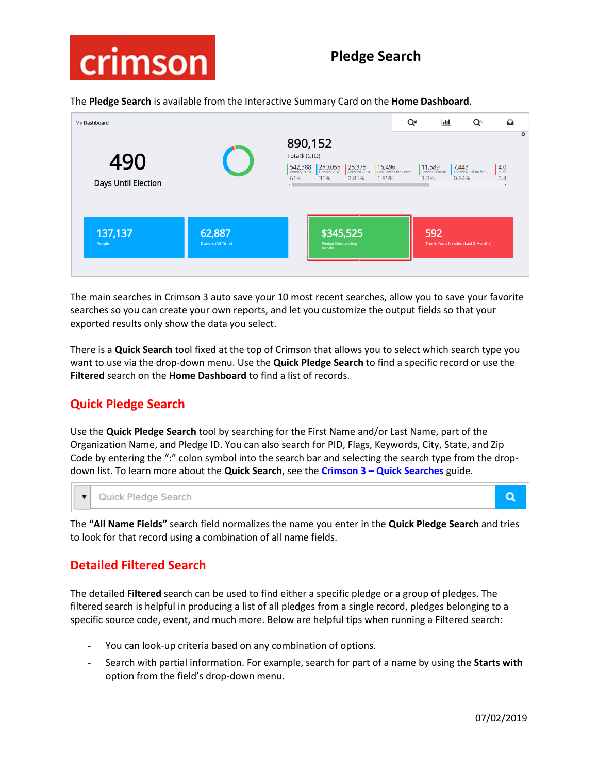

The **Pledge Search** is available from the Interactive Summary Card on the **Home Dashboard**.

| My Dashboard               |                             |                                                                                                          | Q*                             | $\overline{\mathbf{H}}$                       | Q                             | $\Omega$                            |         |
|----------------------------|-----------------------------|----------------------------------------------------------------------------------------------------------|--------------------------------|-----------------------------------------------|-------------------------------|-------------------------------------|---------|
| 490<br>Days Until Election |                             | 890,152<br>Total\$ (CTD)<br>542,388<br>280,055<br>25,375<br>Recount 2018<br>31%<br>61%<br>2.85%<br>1.85% | 16,496<br>Ben Santos for Gover | $ 11,589$<br>Special General<br>1.3%<br>0.84% | 7,443<br>XAndrew Gillum for G | $4,0!$<br>$x_{\text{Ben.}}$<br>0.4! | $\circ$ |
| 137,137<br>People          | 62,887<br>Donors (All-Time) | \$345,525<br><b>Pledge Outstanding</b><br>156 Gifts                                                      |                                | 592<br>Thank You's Needed (Last 3 Months)     |                               |                                     |         |

The main searches in Crimson 3 auto save your 10 most recent searches, allow you to save your favorite searches so you can create your own reports, and let you customize the output fields so that your exported results only show the data you select.

There is a **Quick Search** tool fixed at the top of Crimson that allows you to select which search type you want to use via the drop-down menu. Use the **Quick Pledge Search** to find a specific record or use the **Filtered** search on the **Home Dashboard** to find a list of records.

# **Quick Pledge Search**

Use the **Quick Pledge Search** tool by searching for the First Name and/or Last Name, part of the Organization Name, and Pledge ID. You can also search for PID, Flags, Keywords, City, State, and Zip Code by entering the ":" colon symbol into the search bar and selecting the search type from the dropdown list. To learn more about the **Quick Search**, see the **Crimson 3 – [Quick Searches](https://support.cmdi.com/hc/en-us/articles/360018142851-Crimson-3-Quick-Searches)** guide.

 $\overline{\mathbf{v}}$ Quick Pledge Search

The **"All Name Fields"** search field normalizes the name you enter in the **Quick Pledge Search** and tries to look for that record using a combination of all name fields.

### **Detailed Filtered Search**

The detailed **Filtered** search can be used to find either a specific pledge or a group of pledges. The filtered search is helpful in producing a list of all pledges from a single record, pledges belonging to a specific source code, event, and much more. Below are helpful tips when running a Filtered search:

- You can look-up criteria based on any combination of options.
- Search with partial information. For example, search for part of a name by using the **Starts with** option from the field's drop-down menu.

Q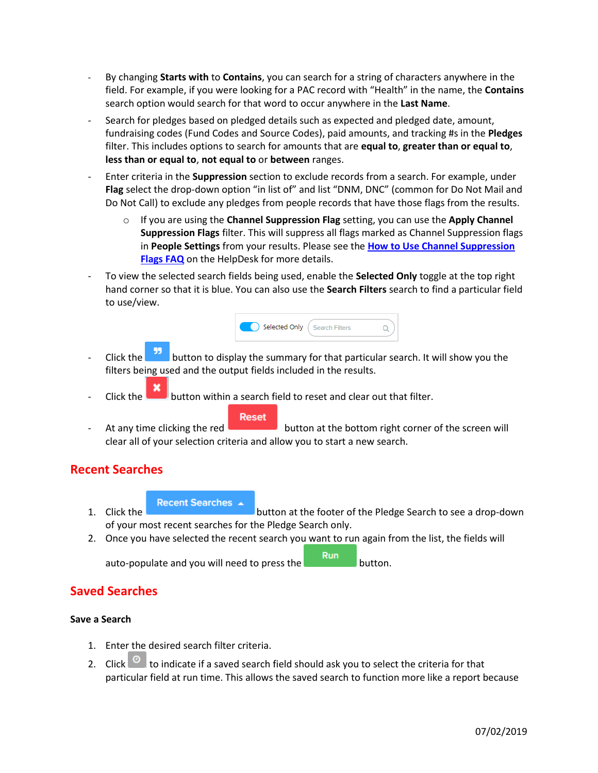- By changing **Starts with** to **Contains**, you can search for a string of characters anywhere in the field. For example, if you were looking for a PAC record with "Health" in the name, the **Contains** search option would search for that word to occur anywhere in the **Last Name**.
- Search for pledges based on pledged details such as expected and pledged date, amount, fundraising codes (Fund Codes and Source Codes), paid amounts, and tracking #s in the **Pledges** filter. This includes options to search for amounts that are **equal to**, **greater than or equal to**, **less than or equal to**, **not equal to** or **between** ranges.
- Enter criteria in the **Suppression** section to exclude records from a search. For example, under **Flag** select the drop-down option "in list of" and list "DNM, DNC" (common for Do Not Mail and Do Not Call) to exclude any pledges from people records that have those flags from the results.
	- o If you are using the **Channel Suppression Flag** setting, you can use the **Apply Channel Suppression Flags** filter. This will suppress all flags marked as Channel Suppression flags in **People Settings** from your results. Please see the **[How to Use Channel Suppression](https://support.cmdi.com/hc/en-us/articles/360017417192-Crimson-3-FAQ-How-to-Use-Mass-Flag-Suppression-in-List-Selects)  [Flags FAQ](https://support.cmdi.com/hc/en-us/articles/360017417192-Crimson-3-FAQ-How-to-Use-Mass-Flag-Suppression-in-List-Selects)** on the HelpDesk for more details.
- To view the selected search fields being used, enable the **Selected Only** toggle at the top right hand corner so that it is blue. You can also use the **Search Filters** search to find a particular field to use/view.



- Click the **button to display the summary for that particular search.** It will show you the filters being used and the output fields included in the results.
- Click the **button within a search field to reset and clear out that filter.**



At any time clicking the red button at the bottom right corner of the screen will clear all of your selection criteria and allow you to start a new search.

### **Recent Searches**

**Recent Searches** ▲

- 1. Click the **button** at the footer of the Pledge Search to see a drop-down of your most recent searches for the Pledge Search only.
- 2. Once you have selected the recent search you want to run again from the list, the fields will

**Run** auto-populate and you will need to press the **button** button.

## **Saved Searches**

#### **Save a Search**

- 1. Enter the desired search filter criteria.
- 2. Click  $\bullet$  to indicate if a saved search field should ask you to select the criteria for that particular field at run time. This allows the saved search to function more like a report because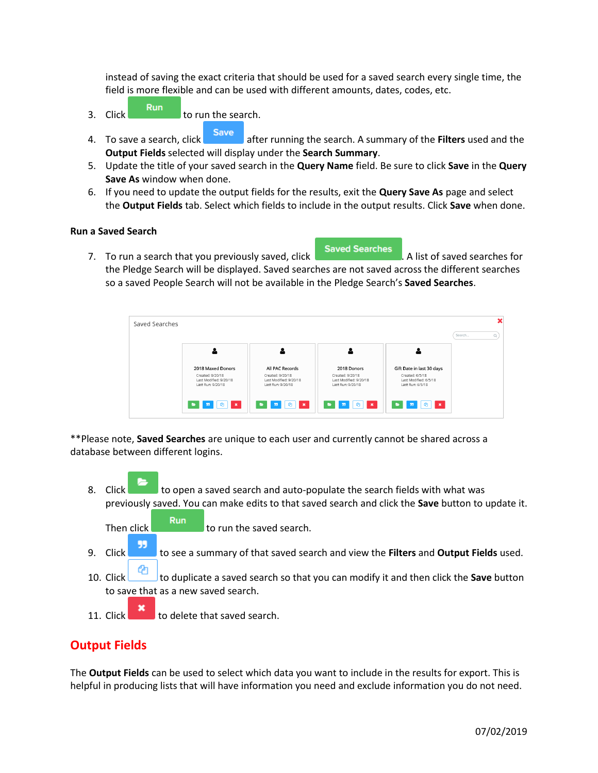instead of saving the exact criteria that should be used for a saved search every single time, the field is more flexible and can be used with different amounts, dates, codes, etc.

- $\frac{1}{3}$ . Click  $\frac{1}{3}$  click to run the search.
- 4. To save a search, click after running the search. A summary of the **Filters** used and the **Output Fields** selected will display under the **Search Summary**.
- 5. Update the title of your saved search in the **Query Name** field. Be sure to click **Save** in the **Query Save As** window when done.
- 6. If you need to update the output fields for the results, exit the **Query Save As** page and select the **Output Fields** tab. Select which fields to include in the output results. Click **Save** when done.

#### **Run a Saved Search**

7. To run a search that you previously saved, click **Saved Searches** . A list of saved searches for the Pledge Search will be displayed. Saved searches are not saved across the different searches so a saved People Search will not be available in the Pledge Search's **Saved Searches**.

| Saved Searches |                                                                 |                                                                 |                                                                 |                                                              |        |  |
|----------------|-----------------------------------------------------------------|-----------------------------------------------------------------|-----------------------------------------------------------------|--------------------------------------------------------------|--------|--|
|                |                                                                 |                                                                 |                                                                 |                                                              | Search |  |
|                |                                                                 |                                                                 |                                                                 |                                                              |        |  |
|                | 2018 Maxed Donors                                               | All PAC Records                                                 | 2018 Donors                                                     | Gift Date in last 30 days                                    |        |  |
|                | Created: 9/20/18<br>Last Modified: 9/20/18<br>Last Run: 9/20/18 | Created: 9/20/18<br>Last Modified: 9/20/18<br>Last Run: 9/20/18 | Created: 9/20/18<br>Last Modified: 9/20/18<br>Last Run: 9/20/18 | Created: 6/5/18<br>Last Modified: 6/5/18<br>Last Run: 6/5/18 |        |  |
|                | <sub>2</sub>  <br>99<br>$\,$ $\,$ $\,$<br>÷                     | ٠<br>$\bullet$<br>-99<br>∎×                                     | ∎ ×<br>٠                                                        | 55<br>٠<br>$\cdot$ $\times$<br>e l                           |        |  |

\*\*Please note, **Saved Searches** are unique to each user and currently cannot be shared across a database between different logins.

- 8. Click to open a saved search and auto-populate the search fields with what was previously saved. You can make edits to that saved search and click the **Save** button to update it.
	- Then click to run the saved search.
- 99 9. Click to see a summary of that saved search and view the **Filters** and **Output Fields** used.
- 10. Click to duplicate a saved search so that you can modify it and then click the **Save** button to save that as a new saved search.
- 11. Click  $\begin{array}{|c|c|}\n\hline\n\end{array}$  to delete that saved search.

## **Output Fields**

The **Output Fields** can be used to select which data you want to include in the results for export. This is helpful in producing lists that will have information you need and exclude information you do not need.